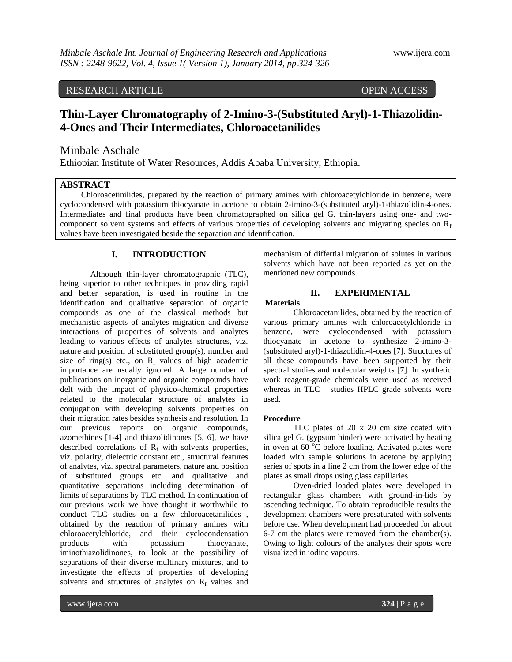# **uthal**<br>
RESEARCH ARTICLE OPEN ACCESS

# **Thin-Layer Chromatography of 2-Imino-3-(Substituted Aryl)-1-Thiazolidin-4-Ones and Their Intermediates, Chloroacetanilides**

## Minbale Aschale

Ethiopian Institute of Water Resources, Addis Ababa University, Ethiopia.

# **ABSTRACT**

 Chloroacetinilides, prepared by the reaction of primary amines with chloroacetylchloride in benzene, were cyclocondensed with potassium thiocyanate in acetone to obtain 2-imino-3-(substituted aryl)-1-thiazolidin-4-ones. Intermediates and final products have been chromatographed on silica gel G. thin-layers using one- and twocomponent solvent systems and effects of various properties of developing solvents and migrating species on  $R_f$ values have been investigated beside the separation and identification.

### **I. INTRODUCTION**

Although thin-layer chromatographic (TLC), being superior to other techniques in providing rapid and better separation, is used in routine in the identification and qualitative separation of organic compounds as one of the classical methods but mechanistic aspects of analytes migration and diverse interactions of properties of solvents and analytes leading to various effects of analytes structures, viz. nature and position of substituted group(s), number and size of ring(s) etc., on  $R_f$  values of high academic importance are usually ignored. A large number of publications on inorganic and organic compounds have delt with the impact of physico-chemical properties related to the molecular structure of analytes in conjugation with developing solvents properties on their migration rates besides synthesis and resolution. In our previous reports on organic compounds, azomethines [1-4] and thiazolidinones [5, 6], we have described correlations of  $R_f$  with solvents properties, viz. polarity, dielectric constant etc., structural features of analytes, viz. spectral parameters, nature and position of substituted groups etc. and qualitative and quantitative separations including determination of limits of separations by TLC method. In continuation of our previous work we have thought it worthwhile to conduct TLC studies on a few chloroacetanilides , obtained by the reaction of primary amines with chloroacetylchloride, and their cyclocondensation<br>products with potassium thiocyanate. products with potassium thiocyanate, iminothiazolidinones, to look at the possibility of separations of their diverse multinary mixtures, and to investigate the effects of properties of developing solvents and structures of analytes on  $R_f$  values and

mechanism of differtial migration of solutes in various solvents which have not been reported as yet on the mentioned new compounds.

#### **II. EXPERIMENTAL**

#### **Materials**

Chloroacetanilides, obtained by the reaction of various primary amines with chloroacetylchloride in benzene, were cyclocondensed with potassium thiocyanate in acetone to synthesize 2-imino-3- (substituted aryl)-1-thiazolidin-4-ones [7]. Structures of all these compounds have been supported by their spectral studies and molecular weights [7]. In synthetic work reagent-grade chemicals were used as received whereas in TLC studies HPLC grade solvents were used.

#### **Procedure**

TLC plates of 20 x 20 cm size coated with silica gel G. (gypsum binder) were activated by heating in oven at 60 $\degree$ C before loading. Activated plates were loaded with sample solutions in acetone by applying series of spots in a line 2 cm from the lower edge of the plates as small drops using glass capillaries.

Oven-dried loaded plates were developed in rectangular glass chambers with ground-in-lids by ascending technique. To obtain reproducible results the development chambers were presaturated with solvents before use. When development had proceeded for about 6-7 cm the plates were removed from the chamber(s). Owing to light colours of the analytes their spots were visualized in iodine vapours.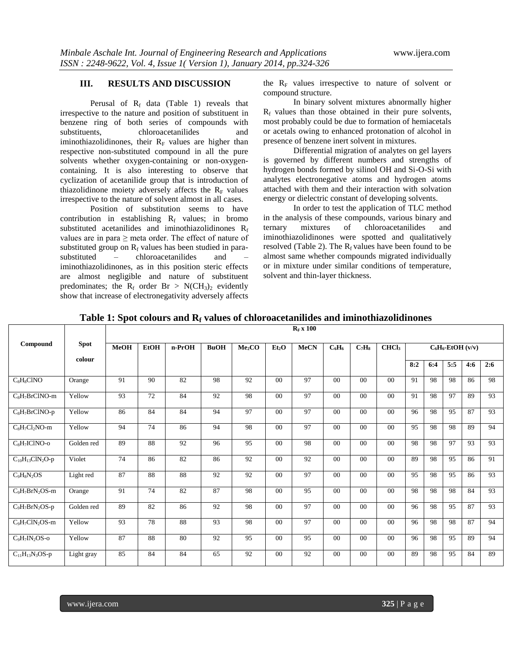#### **III. RESULTS AND DISCUSSION**

Perusal of  $R_f$  data (Table 1) reveals that irrespective to the nature and position of substituent in benzene ring of both series of compounds with substituents, chloroacetanilides and iminothiazolidinones, their  $R_F$  values are higher than respective non-substituted compound in all the pure solvents whether oxygen-containing or non-oxygencontaining. It is also interesting to observe that cyclization of acetanilide group that is introduction of thiazolidinone moiety adversely affects the  $R_F$  values irrespective to the nature of solvent almost in all cases.

Position of substitution seems to have contribution in establishing  $R_f$  values; in bromo substituted acetanilides and iminothiazolidinones  $R_f$ values are in para  $\geq$  meta order. The effect of nature of substituted group on  $R_f$  values has been studied in parasubstituted – chloroacetanilides and – iminothiazolidinones, as in this position steric effects are almost negligible and nature of substituent predominates; the  $R_f$  order  $Br > N(CH_3)_2$  evidently show that increase of electronegativity adversely affects the  $R_F$  values irrespective to nature of solvent or compound structure.

In binary solvent mixtures abnormally higher  $R_f$  values than those obtained in their pure solvents, most probably could be due to formation of hemiacetals or acetals owing to enhanced protonation of alcohol in presence of benzene inert solvent in mixtures.

Differential migration of analytes on gel layers is governed by different numbers and strengths of hydrogen bonds formed by silinol OH and Si-O-Si with analytes electronegative atoms and hydrogen atoms attached with them and their interaction with solvation energy or dielectric constant of developing solvents.

In order to test the application of TLC method in the analysis of these compounds, various binary and ternary mixtures of chloroacetanilides and iminothiazolidinones were spotted and qualitatively resolved (Table 2). The  $R_f$  values have been found to be almost same whether compounds migrated individually or in mixture under similar conditions of temperature, solvent and thin-layer thickness.

|                        |             | $R_F x 100$ |             |        |             |                    |                   |             |                |                |                   |     |     |                      |     |     |
|------------------------|-------------|-------------|-------------|--------|-------------|--------------------|-------------------|-------------|----------------|----------------|-------------------|-----|-----|----------------------|-----|-----|
| Compound               | <b>Spot</b> | MeOH        | <b>EtOH</b> | n-PrOH | <b>BuOH</b> | Me <sub>2</sub> CO | Et <sub>2</sub> O | <b>MeCN</b> | $C_6H_6$       | $C_7H_8$       | CHCl <sub>3</sub> |     |     | $C_6H_6$ -EtOH (v/v) |     |     |
|                        | colour      |             |             |        |             |                    |                   |             |                |                |                   | 8:2 | 6:4 | 5:5                  | 4:6 | 2:6 |
| $C_8H_8CINO$           | Orange      | 91          | 90          | 82     | 98          | 92                 | 00                | 97          | 00             | $00\,$         | $00\,$            | 91  | 98  | 98                   | 86  | 98  |
| $C_8H_7BrClNO-m$       | Yellow      | 93          | 72          | 84     | 92          | 98                 | 00                | 97          | 00             | 00             | $00\,$            | 91  | 98  | 97                   | 89  | 93  |
| $C_8H_7BrClNO-p$       | Yellow      | 86          | 84          | 84     | 94          | 97                 | 0 <sub>0</sub>    | 97          | 0 <sub>0</sub> | 0 <sub>0</sub> | 0 <sub>0</sub>    | 96  | 98  | 95                   | 87  | 93  |
| $C_8H_7Cl_2NO$ -m      | Yellow      | 94          | 74          | 86     | 94          | 98                 | 00                | 97          | 0 <sub>0</sub> | $00\,$         | $00\,$            | 95  | 98  | 98                   | 89  | 94  |
| $C_8H_7ICINO-0$        | Golden red  | 89          | 88          | 92     | 96          | 95                 | 00                | 98          | 00             | $00\,$         | 00                | 98  | 98  | 97                   | 93  | 93  |
| $C_{10}H_{13}C1N_2O-p$ | Violet      | 74          | 86          | 82     | 86          | 92                 | $00\,$            | 92          | 0 <sub>0</sub> | 0 <sub>0</sub> | $00\,$            | 89  | 98  | 95                   | 86  | 91  |
| $C_9H_8N_2OS$          | Light red   | 87          | 88          | 88     | 92          | 92                 | $00\,$            | 97          | 00             | $00\,$         | $00\,$            | 95  | 98  | 95                   | 86  | 93  |
| $C_9H_7BrN_2OS-m$      | Orange      | 91          | 74          | 82     | 87          | 98                 | $00\,$            | 95          | $00\,$         | $00\,$         | $00\,$            | 98  | 98  | 98                   | 84  | 93  |
| $C_9H_7BrN_2OS-p$      | Golden red  | 89          | 82          | 86     | 92          | 98                 | 00                | 97          | 00             | $00\,$         | $00\,$            | 96  | 98  | 95                   | 87  | 93  |
| $C_9H_7CIN_2OS-m$      | Yellow      | 93          | 78          | 88     | 93          | 98                 | 00                | 97          | $00\,$         | $00\,$         | $00\,$            | 96  | 98  | 98                   | 87  | 94  |
| $C_9H_7IN_2OS-0$       | Yellow      | 87          | 88          | 80     | 92          | 95                 | 00                | 95          | 00             | 00             | 00                | 96  | 98  | 95                   | 89  | 94  |
| $C_{11}H_{13}N_3OS-p$  | Light gray  | 85          | 84          | 84     | 65          | 92                 | 00                | 92          | 00             | $00\,$         | $00\,$            | 89  | 98  | 95                   | 84  | 89  |

**Table 1: Spot colours and R<sup>f</sup> values of chloroacetanilides and iminothiazolidinones**